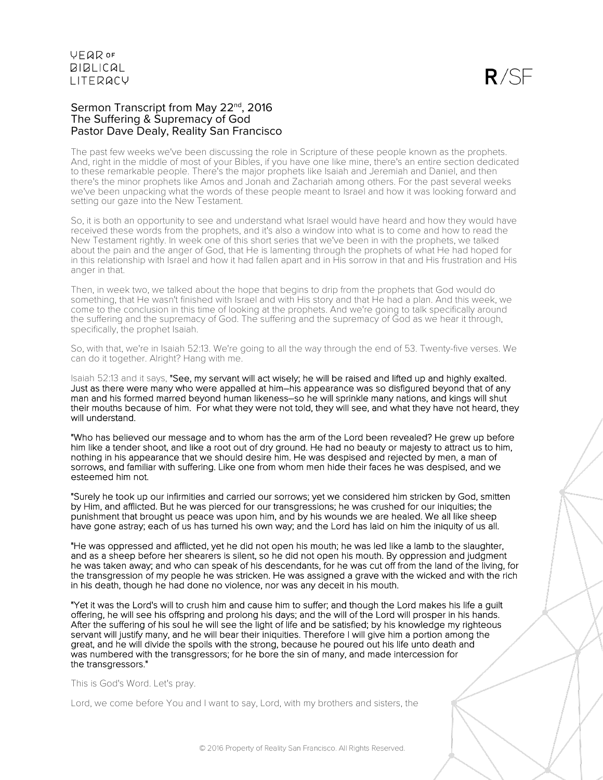#### Sermon Transcript from May 22<sup>nd</sup>, 2016 The Suffering & Supremacy of God Pastor Dave Dealy, Reality San Francisco

The past few weeks we've been discussing the role in Scripture of these people known as the prophets. And, right in the middle of most of your Bibles, if you have one like mine, there's an entire section dedicated to these remarkable people. There's the major prophets like Isaiah and Jeremiah and Daniel, and then there's the minor prophets like Amos and Jonah and Zachariah among others. For the past several weeks we've been unpacking what the words of these people meant to Israel and how it was looking forward and setting our gaze into the New Testament.

So, it is both an opportunity to see and understand what Israel would have heard and how they would have received these words from the prophets, and it's also a window into what is to come and how to read the New Testament rightly. In week one of this short series that we've been in with the prophets, we talked about the pain and the anger of God, that He is lamenting through the prophets of what He had hoped for in this relationship with Israel and how it had fallen apart and in His sorrow in that and His frustration and His anger in that.

Then, in week two, we talked about the hope that begins to drip from the prophets that God would do something, that He wasn't finished with Israel and with His story and that He had a plan. And this week, we come to the conclusion in this time of looking at the prophets. And we're going to talk specifically around the suffering and the supremacy of God. The suffering and the supremacy of God as we hear it through, specifically, the prophet Isaiah.

So, with that, we're in Isaiah 52:13. We're going to all the way through the end of 53. Twenty-five verses. We can do it together. Alright? Hang with me.

Isaiah 52:13 and it says, "See, my servant will act wisely; he will be raised and lifted up and highly exalted. Just as there were many who were appalled at him–his appearance was so disfigured beyond that of any man and his formed marred beyond human likeness–so he will sprinkle many nations, and kings will shut their mouths because of him. For what they were not told, they will see, and what they have not heard, they will understand.

"Who has believed our message and to whom has the arm of the Lord been revealed? He grew up before him like a tender shoot, and like a root out of dry ground. He had no beauty or majesty to attract us to him, nothing in his appearance that we should desire him. He was despised and rejected by men, a man of sorrows, and familiar with suffering. Like one from whom men hide their faces he was despised, and we esteemed him not.

"Surely he took up our infirmities and carried our sorrows; yet we considered him stricken by God, smitten by Him, and afflicted. But he was pierced for our transgressions; he was crushed for our iniquities; the punishment that brought us peace was upon him, and by his wounds we are healed. We all like sheep have gone astray; each of us has turned his own way; and the Lord has laid on him the iniquity of us all.

"He was oppressed and afflicted, yet he did not open his mouth; he was led like a lamb to the slaughter, and as a sheep before her shearers is silent, so he did not open his mouth. By oppression and judgment he was taken away; and who can speak of his descendants, for he was cut off from the land of the living, for the transgression of my people he was stricken. He was assigned a grave with the wicked and with the rich in his death, though he had done no violence, nor was any deceit in his mouth.

"Yet it was the Lord's will to crush him and cause him to suffer; and though the Lord makes his life a guilt offering, he will see his offspring and prolong his days; and the will of the Lord will prosper in his hands. After the suffering of his soul he will see the light of life and be satisfied; by his knowledge my righteous servant will justify many, and he will bear their iniquities. Therefore I will give him a portion among the great, and he will divide the spoils with the strong, because he poured out his life unto death and was numbered with the transgressors; for he bore the sin of many, and made intercession for the transgressors."

This is God's Word. Let's pray.

Lord, we come before You and I want to say, Lord, with my brothers and sisters, the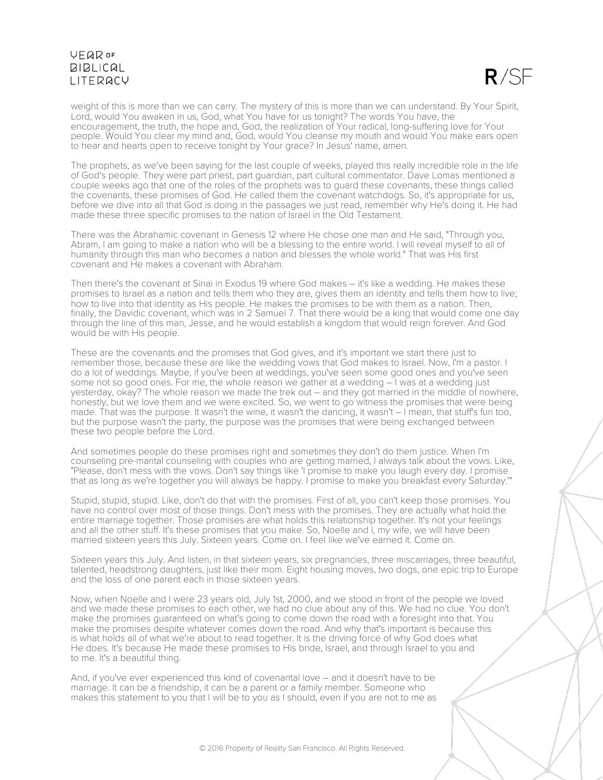$R/SE$ 

weight of this is more than we can carry. The mystery of this is more than we can understand. By Your Spirit, Lord, would You awaken in us, God, what You have for us tonight? The words You have, the encouragement, the truth, the hope and, God, the realization of Your radical, long-suffering love for Your people. Would You clear my mind and, God, would You cleanse my mouth and would You make ears open to hear and hearts open to receive tonight by Your grace? In Jesus' name, amen.

The prophets, as we've been saying for the last couple of weeks, played this really incredible role in the life of God's people. They were part priest, part guardian, part cultural commentator. Dave Lomas mentioned a couple weeks ago that one of the roles of the prophets was to guard these covenants, these things called the covenants, these promises of God. He called them the covenant watchdogs. So, it's appropriate for us, before we dive into all that God is doing in the passages we just read, remember why He's doing it. He had made these three specific promises to the nation of Israel in the Old Testament.

There was the Abrahamic covenant in Genesis 12 where He chose one man and He said, "Through you, Abram, I am going to make a nation who will be a blessing to the entire world. I will reveal myself to all of humanity through this man who becomes a nation and blesses the whole world." That was His first covenant and He makes a covenant with Abraham.

Then there's the covenant at Sinai in Exodus 19 where God makes – it's like a wedding. He makes these promises to Israel as a nation and tells them who they are, gives them an identity and tells them how to live; how to live into that identity as His people. He makes the promises to be with them as a nation. Then, finally, the Davidic covenant, which was in 2 Samuel 7. That there would be a king that would come one day through the line of this man, Jesse, and he would establish a kingdom that would reign forever. And God would be with His people.

These are the covenants and the promises that God gives, and it's important we start there just to remember those, because these are like the wedding vows that God makes to Israel. Now, I'm a pastor. I do a lot of weddings. Maybe, if you've been at weddings, you've seen some good ones and you've seen some not so good ones. For me, the whole reason we gather at a wedding – I was at a wedding just yesterday, okay? The whole reason we made the trek out – and they got married in the middle of nowhere, honestly, but we love them and we were excited. So, we went to go witness the promises that were being made. That was the purpose. It wasn't the wine, it wasn't the dancing, it wasn't – I mean, that stuff's fun too, but the purpose wasn't the party, the purpose was the promises that were being exchanged between these two people before the Lord.

And sometimes people do these promises right and sometimes they don't do them justice. When I'm counseling pre-marital counseling with couples who are getting married, I always talk about the vows. Like, "Please, don't mess with the vows. Don't say things like 'I promise to make you laugh every day. I promise that as long as we're together you will always be happy. I promise to make you breakfast every Saturday.'"

Stupid, stupid, stupid. Like, don't do that with the promises. First of all, you can't keep those promises. You have no control over most of those things. Don't mess with the promises. They are actually what hold the entire marriage together. Those promises are what holds this relationship together. It's not your feelings and all the other stuff. It's these promises that you make. So, Noelle and I, my wife, we will have been married sixteen years this July. Sixteen years. Come on. I feel like we've earned it. Come on.

Sixteen years this July. And listen, in that sixteen years, six pregnancies, three miscarriages, three beautiful, talented, headstrong daughters, just like their mom. Eight housing moves, two dogs, one epic trip to Europe and the loss of one parent each in those sixteen years.

Now, when Noelle and I were 23 years old, July 1st, 2000, and we stood in front of the people we loved and we made these promises to each other, we had no clue about any of this. We had no clue. You don't make the promises guaranteed on what's going to come down the road with a foresight into that. You make the promises despite whatever comes down the road. And why that's important is because this is what holds all of what we're about to read together. It is the driving force of why God does what He does. It's because He made these promises to His bride, Israel, and through Israel to you and to me. It's a beautiful thing.

And, if you've ever experienced this kind of covenantal love – and it doesn't have to be marriage. It can be a friendship, it can be a parent or a family member. Someone who makes this statement to you that I will be to you as I should, even if you are not to me as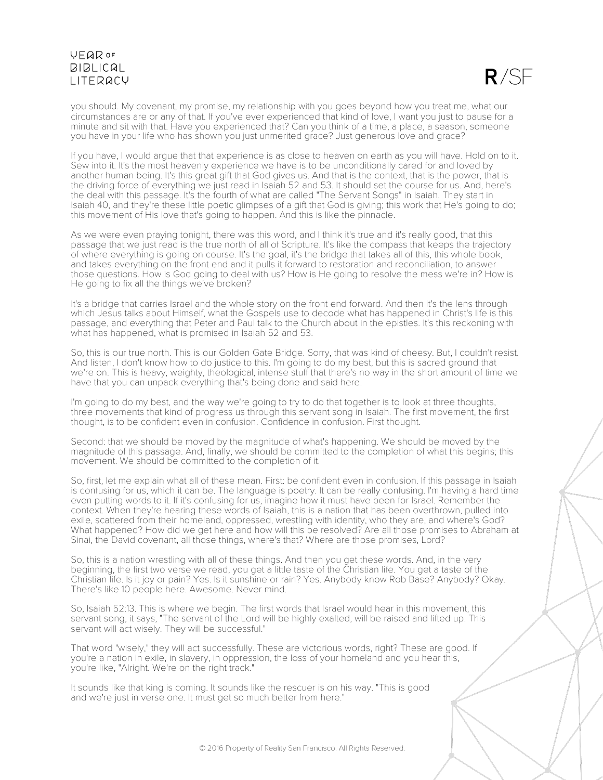$R/SF$ 

you should. My covenant, my promise, my relationship with you goes beyond how you treat me, what our circumstances are or any of that. If you've ever experienced that kind of love, I want you just to pause for a minute and sit with that. Have you experienced that? Can you think of a time, a place, a season, someone you have in your life who has shown you just unmerited grace? Just generous love and grace?

If you have, I would argue that that experience is as close to heaven on earth as you will have. Hold on to it. Sew into it. It's the most heavenly experience we have is to be unconditionally cared for and loved by another human being. It's this great gift that God gives us. And that is the context, that is the power, that is the driving force of everything we just read in Isaiah 52 and 53. It should set the course for us. And, here's the deal with this passage. It's the fourth of what are called "The Servant Songs" in Isaiah. They start in Isaiah 40, and they're these little poetic glimpses of a gift that God is giving; this work that He's going to do; this movement of His love that's going to happen. And this is like the pinnacle.

As we were even praying tonight, there was this word, and I think it's true and it's really good, that this passage that we just read is the true north of all of Scripture. It's like the compass that keeps the trajectory of where everything is going on course. It's the goal, it's the bridge that takes all of this, this whole book, and takes everything on the front end and it pulls it forward to restoration and reconciliation, to answer those questions. How is God going to deal with us? How is He going to resolve the mess we're in? How is He going to fix all the things we've broken?

It's a bridge that carries Israel and the whole story on the front end forward. And then it's the lens through which Jesus talks about Himself, what the Gospels use to decode what has happened in Christ's life is this passage, and everything that Peter and Paul talk to the Church about in the epistles. It's this reckoning with what has happened, what is promised in Isaiah 52 and 53.

So, this is our true north. This is our Golden Gate Bridge. Sorry, that was kind of cheesy. But, I couldn't resist. And listen, I don't know how to do justice to this. I'm going to do my best, but this is sacred ground that we're on. This is heavy, weighty, theological, intense stuff that there's no way in the short amount of time we have that you can unpack everything that's being done and said here.

I'm going to do my best, and the way we're going to try to do that together is to look at three thoughts, three movements that kind of progress us through this servant song in Isaiah. The first movement, the first thought, is to be confident even in confusion. Confidence in confusion. First thought.

Second: that we should be moved by the magnitude of what's happening. We should be moved by the magnitude of this passage. And, finally, we should be committed to the completion of what this begins; this movement. We should be committed to the completion of it.

So, first, let me explain what all of these mean. First: be confident even in confusion. If this passage in Isaiah is confusing for us, which it can be. The language is poetry. It can be really confusing. I'm having a hard time even putting words to it. If it's confusing for us, imagine how it must have been for Israel. Remember the context. When they're hearing these words of Isaiah, this is a nation that has been overthrown, pulled into exile, scattered from their homeland, oppressed, wrestling with identity, who they are, and where's God? What happened? How did we get here and how will this be resolved? Are all those promises to Abraham at Sinai, the David covenant, all those things, where's that? Where are those promises, Lord?

So, this is a nation wrestling with all of these things. And then you get these words. And, in the very beginning, the first two verse we read, you get a little taste of the Christian life. You get a taste of the Christian life. Is it joy or pain? Yes. Is it sunshine or rain? Yes. Anybody know Rob Base? Anybody? Okay. There's like 10 people here. Awesome. Never mind.

So, Isaiah 52:13. This is where we begin. The first words that Israel would hear in this movement, this servant song, it says, "The servant of the Lord will be highly exalted, will be raised and lifted up. This servant will act wisely. They will be successful."

That word "wisely," they will act successfully. These are victorious words, right? These are good. If you're a nation in exile, in slavery, in oppression, the loss of your homeland and you hear this, you're like, "Alright. We're on the right track."

It sounds like that king is coming. It sounds like the rescuer is on his way. "This is good and we're just in verse one. It must get so much better from here."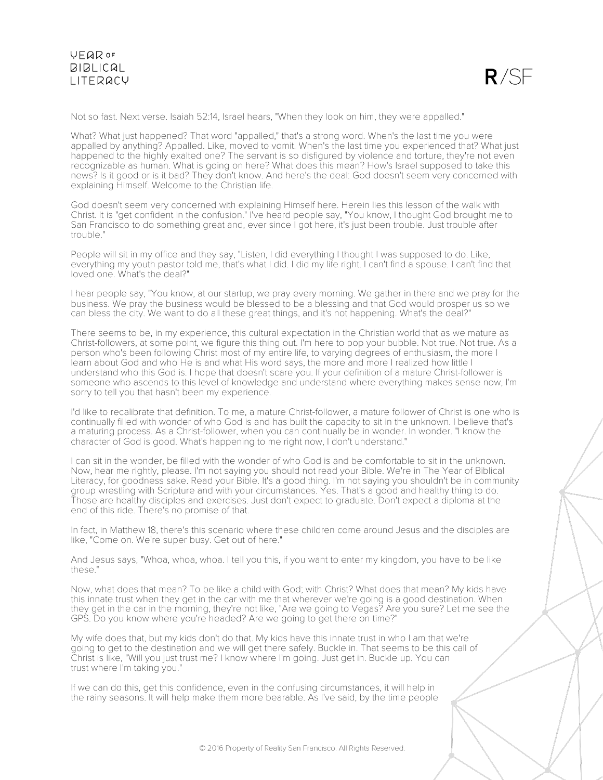

Not so fast. Next verse. Isaiah 52:14, Israel hears, "When they look on him, they were appalled."

What? What just happened? That word "appalled," that's a strong word. When's the last time you were appalled by anything? Appalled. Like, moved to vomit. When's the last time you experienced that? What just happened to the highly exalted one? The servant is so disfigured by violence and torture, they're not even recognizable as human. What is going on here? What does this mean? How's Israel supposed to take this news? Is it good or is it bad? They don't know. And here's the deal: God doesn't seem very concerned with explaining Himself. Welcome to the Christian life.

God doesn't seem very concerned with explaining Himself here. Herein lies this lesson of the walk with Christ. It is "get confident in the confusion." I've heard people say, "You know, I thought God brought me to San Francisco to do something great and, ever since I got here, it's just been trouble. Just trouble after trouble."

People will sit in my office and they say, "Listen, I did everything I thought I was supposed to do. Like, everything my youth pastor told me, that's what I did. I did my life right. I can't find a spouse. I can't find that loved one. What's the deal?"

I hear people say, "You know, at our startup, we pray every morning. We gather in there and we pray for the business. We pray the business would be blessed to be a blessing and that God would prosper us so we can bless the city. We want to do all these great things, and it's not happening. What's the deal?"

There seems to be, in my experience, this cultural expectation in the Christian world that as we mature as Christ-followers, at some point, we figure this thing out. I'm here to pop your bubble. Not true. Not true. As a person who's been following Christ most of my entire life, to varying degrees of enthusiasm, the more I learn about God and who He is and what His word says, the more and more I realized how little I understand who this God is. I hope that doesn't scare you. If your definition of a mature Christ-follower is someone who ascends to this level of knowledge and understand where everything makes sense now, I'm sorry to tell you that hasn't been my experience.

I'd like to recalibrate that definition. To me, a mature Christ-follower, a mature follower of Christ is one who is continually filled with wonder of who God is and has built the capacity to sit in the unknown. I believe that's a maturing process. As a Christ-follower, when you can continually be in wonder. In wonder. "I know the character of God is good. What's happening to me right now, I don't understand."

I can sit in the wonder, be filled with the wonder of who God is and be comfortable to sit in the unknown. Now, hear me rightly, please. I'm not saying you should not read your Bible. We're in The Year of Biblical Literacy, for goodness sake. Read your Bible. It's a good thing. I'm not saying you shouldn't be in community group wrestling with Scripture and with your circumstances. Yes. That's a good and healthy thing to do. Those are healthy disciples and exercises. Just don't expect to graduate. Don't expect a diploma at the end of this ride. There's no promise of that.

In fact, in Matthew 18, there's this scenario where these children come around Jesus and the disciples are like, "Come on. We're super busy. Get out of here."

And Jesus says, "Whoa, whoa, whoa. I tell you this, if you want to enter my kingdom, you have to be like these."

Now, what does that mean? To be like a child with God; with Christ? What does that mean? My kids have this innate trust when they get in the car with me that wherever we're going is a good destination. When they get in the car in the morning, they're not like, "Are we going to Vegas? Are you sure? Let me see the GPS. Do you know where you're headed? Are we going to get there on time?"

My wife does that, but my kids don't do that. My kids have this innate trust in who I am that we're going to get to the destination and we will get there safely. Buckle in. That seems to be this call of Christ is like, "Will you just trust me? I know where I'm going. Just get in. Buckle up. You can trust where I'm taking you."

If we can do this, get this confidence, even in the confusing circumstances, it will help in the rainy seasons. It will help make them more bearable. As I've said, by the time people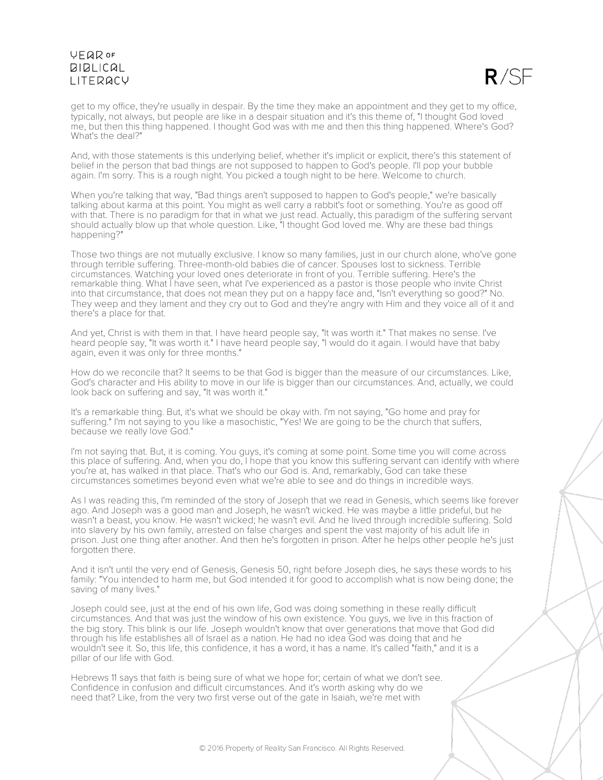

get to my office, they're usually in despair. By the time they make an appointment and they get to my office, typically, not always, but people are like in a despair situation and it's this theme of, "I thought God loved me, but then this thing happened. I thought God was with me and then this thing happened. Where's God? What's the deal?"

And, with those statements is this underlying belief, whether it's implicit or explicit, there's this statement of belief in the person that bad things are not supposed to happen to God's people. I'll pop your bubble again. I'm sorry. This is a rough night. You picked a tough night to be here. Welcome to church.

When you're talking that way, "Bad things aren't supposed to happen to God's people," we're basically talking about karma at this point. You might as well carry a rabbit's foot or something. You're as good off with that. There is no paradigm for that in what we just read. Actually, this paradigm of the suffering servant should actually blow up that whole question. Like, "I thought God loved me. Why are these bad things happening?"

Those two things are not mutually exclusive. I know so many families, just in our church alone, who've gone through terrible suffering. Three-month-old babies die of cancer. Spouses lost to sickness. Terrible circumstances. Watching your loved ones deteriorate in front of you. Terrible suffering. Here's the remarkable thing. What I have seen, what I've experienced as a pastor is those people who invite Christ into that circumstance, that does not mean they put on a happy face and, "Isn't everything so good?" No. They weep and they lament and they cry out to God and they're angry with Him and they voice all of it and there's a place for that.

And yet, Christ is with them in that. I have heard people say, "It was worth it." That makes no sense. I've heard people say, "It was worth it." I have heard people say, "I would do it again. I would have that baby again, even it was only for three months."

How do we reconcile that? It seems to be that God is bigger than the measure of our circumstances. Like, God's character and His ability to move in our life is bigger than our circumstances. And, actually, we could look back on suffering and say, "It was worth it."

It's a remarkable thing. But, it's what we should be okay with. I'm not saying, "Go home and pray for suffering." I'm not saying to you like a masochistic, "Yes! We are going to be the church that suffers, because we really love God."

I'm not saying that. But, it is coming. You guys, it's coming at some point. Some time you will come across this place of suffering. And, when you do, I hope that you know this suffering servant can identify with where you're at, has walked in that place. That's who our God is. And, remarkably, God can take these circumstances sometimes beyond even what we're able to see and do things in incredible ways.

As I was reading this, I'm reminded of the story of Joseph that we read in Genesis, which seems like forever ago. And Joseph was a good man and Joseph, he wasn't wicked. He was maybe a little prideful, but he wasn't a beast, you know. He wasn't wicked; he wasn't evil. And he lived through incredible suffering. Sold into slavery by his own family, arrested on false charges and spent the vast majority of his adult life in prison. Just one thing after another. And then he's forgotten in prison. After he helps other people he's just forgotten there.

And it isn't until the very end of Genesis, Genesis 50, right before Joseph dies, he says these words to his family: "You intended to harm me, but God intended it for good to accomplish what is now being done; the saving of many lives."

Joseph could see, just at the end of his own life, God was doing something in these really difficult circumstances. And that was just the window of his own existence. You guys, we live in this fraction of the big story. This blink is our life. Joseph wouldn't know that over generations that move that God did through his life establishes all of Israel as a nation. He had no idea God was doing that and he wouldn't see it. So, this life, this confidence, it has a word, it has a name. It's called "faith," and it is a pillar of our life with God.

Hebrews 11 says that faith is being sure of what we hope for; certain of what we don't see. Confidence in confusion and difficult circumstances. And it's worth asking why do we need that? Like, from the very two first verse out of the gate in Isaiah, we're met with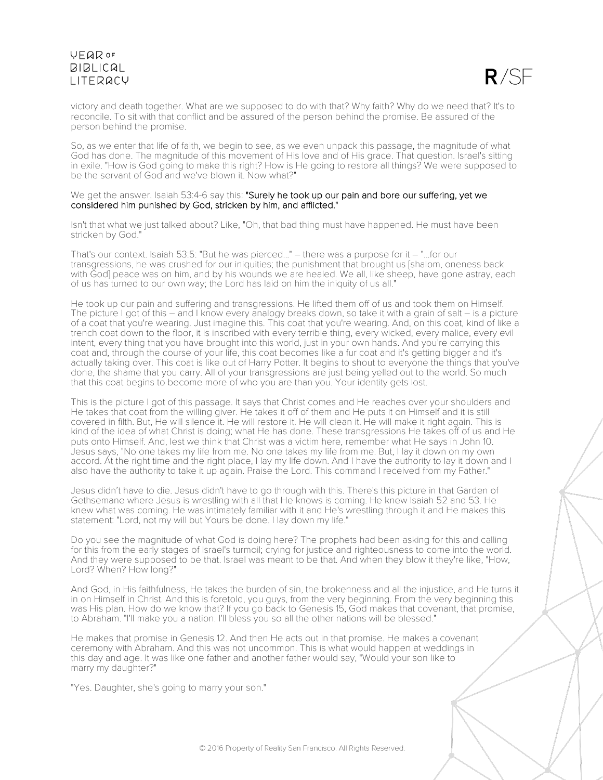

victory and death together. What are we supposed to do with that? Why faith? Why do we need that? It's to reconcile. To sit with that conflict and be assured of the person behind the promise. Be assured of the person behind the promise.

So, as we enter that life of faith, we begin to see, as we even unpack this passage, the magnitude of what God has done. The magnitude of this movement of His love and of His grace. That question. Israel's sitting in exile. "How is God going to make this right? How is He going to restore all things? We were supposed to be the servant of God and we've blown it. Now what?"

#### We get the answer. Isaiah 53:4-6 say this: "Surely he took up our pain and bore our suffering, yet we considered him punished by God, stricken by him, and afflicted."

Isn't that what we just talked about? Like, "Oh, that bad thing must have happened. He must have been stricken by God."

That's our context. Isaiah 53:5: "But he was pierced..." – there was a purpose for it – "...for our transgressions, he was crushed for our iniquities; the punishment that brought us [shalom, oneness back with God] peace was on him, and by his wounds we are healed. We all, like sheep, have gone astray, each of us has turned to our own way; the Lord has laid on him the iniquity of us all."

He took up our pain and suffering and transgressions. He lifted them off of us and took them on Himself. The picture I got of this – and I know every analogy breaks down, so take it with a grain of salt – is a picture of a coat that you're wearing. Just imagine this. This coat that you're wearing. And, on this coat, kind of like a trench coat down to the floor, it is inscribed with every terrible thing, every wicked, every malice, every evil intent, every thing that you have brought into this world, just in your own hands. And you're carrying this coat and, through the course of your life, this coat becomes like a fur coat and it's getting bigger and it's actually taking over. This coat is like out of Harry Potter. It begins to shout to everyone the things that you've done, the shame that you carry. All of your transgressions are just being yelled out to the world. So much that this coat begins to become more of who you are than you. Your identity gets lost.

This is the picture I got of this passage. It says that Christ comes and He reaches over your shoulders and He takes that coat from the willing giver. He takes it off of them and He puts it on Himself and it is still covered in filth. But, He will silence it. He will restore it. He will clean it. He will make it right again. This is kind of the idea of what Christ is doing; what He has done. These transgressions He takes off of us and He puts onto Himself. And, lest we think that Christ was a victim here, remember what He says in John 10. Jesus says, "No one takes my life from me. No one takes my life from me. But, I lay it down on my own accord. At the right time and the right place, I lay my life down. And I have the authority to lay it down and I also have the authority to take it up again. Praise the Lord. This command I received from my Father."

Jesus didn't have to die. Jesus didn't have to go through with this. There's this picture in that Garden of Gethsemane where Jesus is wrestling with all that He knows is coming. He knew Isaiah 52 and 53. He knew what was coming. He was intimately familiar with it and He's wrestling through it and He makes this statement: "Lord, not my will but Yours be done. I lay down my life."

Do you see the magnitude of what God is doing here? The prophets had been asking for this and calling for this from the early stages of Israel's turmoil; crying for justice and righteousness to come into the world. And they were supposed to be that. Israel was meant to be that. And when they blow it they're like, "How, Lord? When? How long?"

And God, in His faithfulness, He takes the burden of sin, the brokenness and all the injustice, and He turns it in on Himself in Christ. And this is foretold, you guys, from the very beginning. From the very beginning this was His plan. How do we know that? If you go back to Genesis 15, God makes that covenant, that promise, to Abraham. "I'll make you a nation. I'll bless you so all the other nations will be blessed."

He makes that promise in Genesis 12. And then He acts out in that promise. He makes a covenant ceremony with Abraham. And this was not uncommon. This is what would happen at weddings in this day and age. It was like one father and another father would say, "Would your son like to marry my daughter?"

"Yes. Daughter, she's going to marry your son."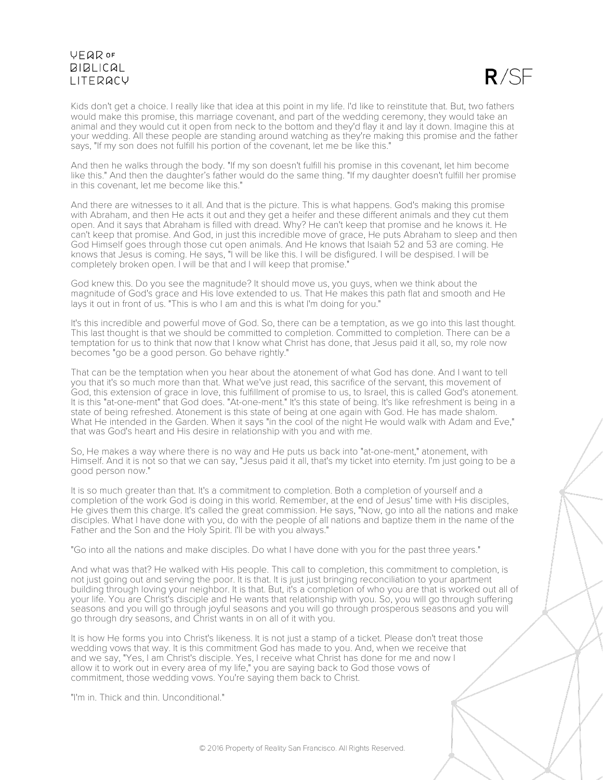

Kids don't get a choice. I really like that idea at this point in my life. I'd like to reinstitute that. But, two fathers would make this promise, this marriage covenant, and part of the wedding ceremony, they would take an animal and they would cut it open from neck to the bottom and they'd flay it and lay it down. Imagine this at your wedding. All these people are standing around watching as they're making this promise and the father says, "If my son does not fulfill his portion of the covenant, let me be like this."

And then he walks through the body. "If my son doesn't fulfill his promise in this covenant, let him become like this." And then the daughter's father would do the same thing. "If my daughter doesn't fulfill her promise in this covenant, let me become like this."

And there are witnesses to it all. And that is the picture. This is what happens. God's making this promise with Abraham, and then He acts it out and they get a heifer and these different animals and they cut them open. And it says that Abraham is filled with dread. Why? He can't keep that promise and he knows it. He can't keep that promise. And God, in just this incredible move of grace, He puts Abraham to sleep and then God Himself goes through those cut open animals. And He knows that Isaiah 52 and 53 are coming. He knows that Jesus is coming. He says, "I will be like this. I will be disfigured. I will be despised. I will be completely broken open. I will be that and I will keep that promise."

God knew this. Do you see the magnitude? It should move us, you guys, when we think about the magnitude of God's grace and His love extended to us. That He makes this path flat and smooth and He lays it out in front of us. "This is who I am and this is what I'm doing for you."

It's this incredible and powerful move of God. So, there can be a temptation, as we go into this last thought. This last thought is that we should be committed to completion. Committed to completion. There can be a temptation for us to think that now that I know what Christ has done, that Jesus paid it all, so, my role now becomes "go be a good person. Go behave rightly."

That can be the temptation when you hear about the atonement of what God has done. And I want to tell you that it's so much more than that. What we've just read, this sacrifice of the servant, this movement of God, this extension of grace in love, this fulfillment of promise to us, to Israel, this is called God's atonement. It is this "at-one-ment" that God does. "At-one-ment." It's this state of being. It's like refreshment is being in a state of being refreshed. Atonement is this state of being at one again with God. He has made shalom. What He intended in the Garden. When it says "in the cool of the night He would walk with Adam and Eve," that was God's heart and His desire in relationship with you and with me.

So, He makes a way where there is no way and He puts us back into "at-one-ment," atonement, with Himself. And it is not so that we can say, "Jesus paid it all, that's my ticket into eternity. I'm just going to be a good person now."

It is so much greater than that. It's a commitment to completion. Both a completion of yourself and a completion of the work God is doing in this world. Remember, at the end of Jesus' time with His disciples, He gives them this charge. It's called the great commission. He says, "Now, go into all the nations and make disciples. What I have done with you, do with the people of all nations and baptize them in the name of the Father and the Son and the Holy Spirit. I'll be with you always."

"Go into all the nations and make disciples. Do what I have done with you for the past three years."

And what was that? He walked with His people. This call to completion, this commitment to completion, is not just going out and serving the poor. It is that. It is just just bringing reconciliation to your apartment building through loving your neighbor. It is that. But, it's a completion of who you are that is worked out all of your life. You are Christ's disciple and He wants that relationship with you. So, you will go through suffering seasons and you will go through joyful seasons and you will go through prosperous seasons and you will go through dry seasons, and Christ wants in on all of it with you.

It is how He forms you into Christ's likeness. It is not just a stamp of a ticket. Please don't treat those wedding vows that way. It is this commitment God has made to you. And, when we receive that and we say, "Yes, I am Christ's disciple. Yes, I receive what Christ has done for me and now I allow it to work out in every area of my life," you are saying back to God those vows of commitment, those wedding vows. You're saying them back to Christ.

"I'm in. Thick and thin. Unconditional."